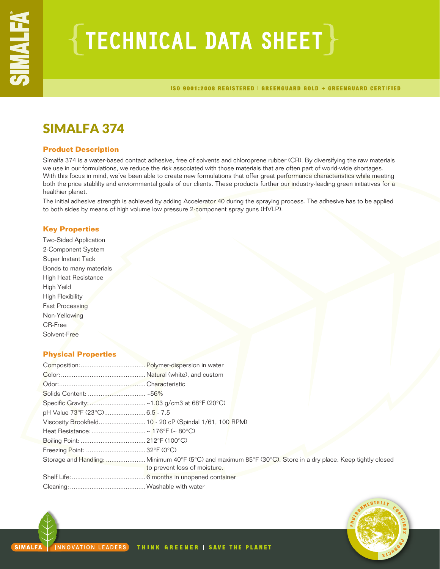# $\{$  TECHNICAL DATA SHEET  $\}$

ISO 9001:2008 REGISTERED | GREENGUARD GOLD + GREENGUARD CERTIFIED

## SIMALFA 374

## **Product Description**

Simalfa 374 is a water-based contact adhesive, free of solvents and chloroprene rubber (CR). By diversifying the raw materials we use in our formulations, we reduce the risk associated with those materials that are often part of world-wide shortages. With this focus in mind, we've been able to create new formulations that offer great performance characteristics while meeting both the price stablilty and enviornmental goals of our clients. These products further our industry-leading green initiatives for a healthier planet.

The initial adhesive strength is achieved by adding Accelerator 40 during the spraying process. The adhesive has to be applied to both sides by means of high volume low pressure 2-component spray guns (HVLP).

## **Key Properties**

Two-Sided Application 2-Component System Super Instant Tack Bonds to many materials High Heat Resistance High Yeild High Flexibility Fast Processing Non-Yellowing CR-Free Solvent-Free

## **Physical Properties**

| pH Value 73°F (23°C) 6.5 - 7.5 |                                                                                                                                              |  |
|--------------------------------|----------------------------------------------------------------------------------------------------------------------------------------------|--|
|                                |                                                                                                                                              |  |
|                                |                                                                                                                                              |  |
|                                |                                                                                                                                              |  |
|                                |                                                                                                                                              |  |
|                                | Storage and Handling:  Minimum 40°F (5°C) and maximum 85°F (30°C). Store in a dry place. Keep tightly closed<br>to prevent loss of moisture. |  |
|                                |                                                                                                                                              |  |
|                                |                                                                                                                                              |  |

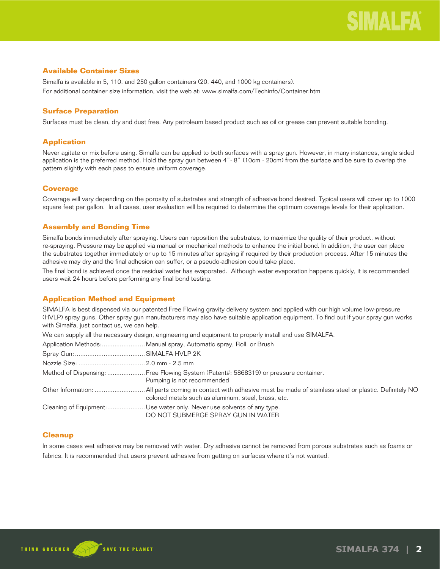## **Available Container Sizes**

Simalfa is available in 5, 110, and 250 gallon containers (20, 440, and 1000 kg containers). For additional container size information, visit the web at: www.simalfa.com/Techinfo/Container.htm

## **Surface Preparation**

Surfaces must be clean, dry and dust free. Any petroleum based product such as oil or grease can prevent suitable bonding.

## **Application**

Never agitate or mix before using. Simalfa can be applied to both surfaces with a spray gun. However, in many instances, single sided application is the preferred method. Hold the spray gun between 4"- 8" (10cm - 20cm) from the surface and be sure to overlap the pattern slightly with each pass to ensure uniform coverage.

## **Coverage**

Coverage will vary depending on the porosity of substrates and strength of adhesive bond desired. Typical users will cover up to 1000 square feet per gallon. In all cases, user evaluation will be required to determine the optimum coverage levels for their application.

## **Assembly and Bonding Time**

Simalfa bonds immediately after spraying. Users can reposition the substrates, to maximize the quality of their product, without re-spraying. Pressure may be applied via manual or mechanical methods to enhance the initial bond. In addition, the user can place the substrates together immediately or up to 15 minutes after spraying if required by their production process. After 15 minutes the adhesive may dry and the final adhesion can suffer, or a pseudo-adhesion could take place.

The final bond is achieved once the residual water has evaporated. Although water evaporation happens quickly, it is recommended users wait 24 hours before performing any final bond testing.

## **Application Method and Equipment**

SIMALFA is best dispensed via our patented Free Flowing gravity delivery system and applied with our high volume low-pressure (HVLP) spray guns. Other spray gun manufacturers may also have suitable application equipment. To find out if your spray gun works with Simalfa, just contact us, we can help.

We can supply all the necessary design, engineering and equipment to properly install and use SIMALFA.

| Application Methods: Manual spray, Automatic spray, Roll, or Brush                                                 |
|--------------------------------------------------------------------------------------------------------------------|
|                                                                                                                    |
|                                                                                                                    |
| Method of Dispensing:  Free Flowing System (Patent#: 5868319) or pressure container.<br>Pumping is not recommended |
| colored metals such as aluminum, steel, brass, etc.                                                                |
| Cleaning of Equipment: Use water only. Never use solvents of any type.<br>DO NOT SUBMERGE SPRAY GUN IN WATER       |

## **Cleanup**

In some cases wet adhesive may be removed with water. Dry adhesive cannot be removed from porous substrates such as foams or fabrics. It is recommended that users prevent adhesive from getting on surfaces where it's not wanted.

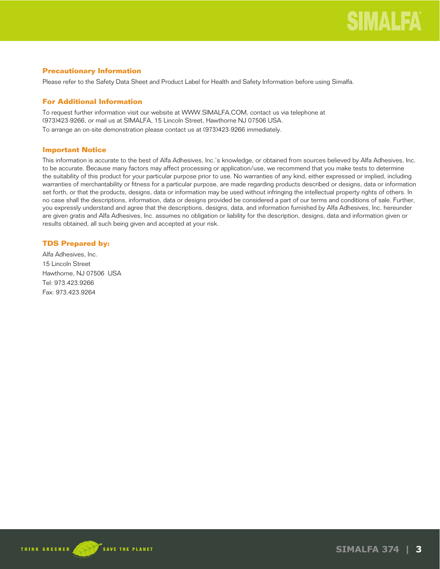## **Precautionary Information**

Please refer to the Safety Data Sheet and Product Label for Health and Safety Information before using Simalfa.

## **For Additional Information**

To request further information visit our website at WWW.SIMALFA.COM, contact us via telephone at (973)423-9266, or mail us at SIMALFA, 15 Lincoln Street, Hawthorne NJ 07506 USA.

To arrange an on-site demonstration please contact us at (973)423-9266 immediately.

## **Important Notice**

This information is accurate to the best of Alfa Adhesives, Inc.'s knowledge, or obtained from sources believed by Alfa Adhesives, Inc. to be accurate. Because many factors may affect processing or application/use, we recommend that you make tests to determine the suitability of this product for your particular purpose prior to use. No warranties of any kind, either expressed or implied, including warranties of merchantability or fitness for a particular purpose, are made regarding products described or designs, data or information set forth, or that the products, designs, data or information may be used without infringing the intellectual property rights of others. In no case shall the descriptions, information, data or designs provided be considered a part of our terms and conditions of sale. Further, you expressly understand and agree that the descriptions, designs, data, and information furnished by Alfa Adhesives, Inc. hereunder are given gratis and Alfa Adhesives, Inc. assumes no obligation or liability for the description, designs, data and information given or results obtained, all such being given and accepted at your risk.

## **TDS Prepared by:**

Alfa Adhesives, Inc. 15 Lincoln Street Hawthorne, NJ 07506 USA Tel: 973.423.9266 Fax: 973.423.9264



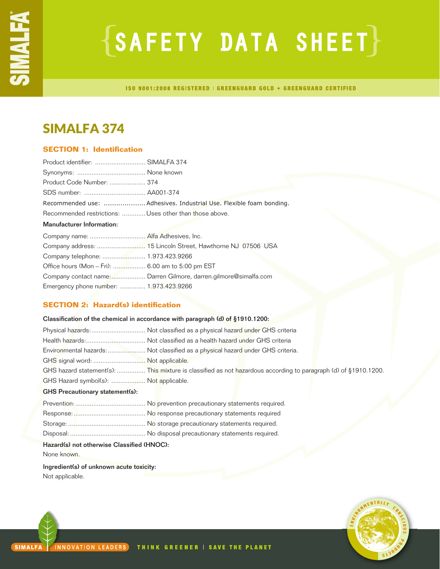# SAFETY DATA SHEET

**ISO 9001:2008 REGISTERED | GREENGUARD GOLD + GREENGUARD CERTIFIED** 

## SIMALFA 374

## **SECTION 1: Identification**

| Product identifier:  SIMALFA 374                        |                                                                  |
|---------------------------------------------------------|------------------------------------------------------------------|
|                                                         |                                                                  |
| Product Code Number:  374                               |                                                                  |
|                                                         |                                                                  |
|                                                         |                                                                  |
| Recommended restrictions:  Uses other than those above. |                                                                  |
| <b>Manufacturer Information:</b>                        |                                                                  |
| Company name:  Alfa Adhesives, Inc.                     |                                                                  |
|                                                         |                                                                  |
| Company telephone:  1.973.423.9266                      |                                                                  |
| Office hours (Mon - Fri):  6.00 am to 5:00 pm EST       |                                                                  |
|                                                         | Company contact name: Darren Gilmore, darren.gilmore@simalfa.com |
| Emergency phone number:  1.973.423.9266                 |                                                                  |

## **SECTION 2: Hazard(s) identification**

## Classification of the chemical in accordance with paragraph (d) of §1910.1200: Physical hazards:.................................. Not classified as a physical hazard under GHS criteria Health hazards:................................. Not classified as a health hazard under GHS criteria Environmental hazards:......................... Not classified as a physical hazard under GHS criteria. GHS signal word: ................................... Not applicable. GHS hazard statement(s): ................. This mixture is classified as not hazardous according to paragraph (d) of §1910.1200. GHS Hazard symbol(s): ................... Not applicable. GHS Precautionary statement(s): Prevention:....................................... No prevention precautionary statements required. Response:........................................ No response precautionary statements required

## Hazard(s) not otherwise Classified (HNOC):

None known.

Ingredient(s) of unknown acute toxicity: Not applicable.

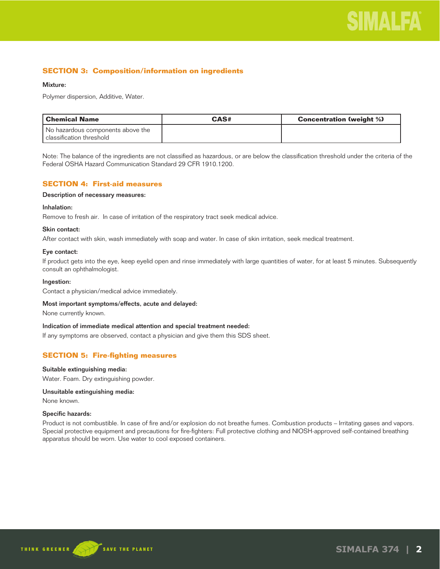## **SECTION 3: Composition/information on ingredients**

### Mixture:

Polymer dispersion, Additive, Water.

| l Chemical Name                   | CAS# | <b>Concentration (weight %)</b> |
|-----------------------------------|------|---------------------------------|
| No hazardous components above the |      |                                 |
| l classification threshold        |      |                                 |

Note: The balance of the ingredients are not classified as hazardous, or are below the classification threshold under the criteria of the Federal OSHA Hazard Communication Standard 29 CFR 1910.1200.

## **SECTION 4: First-aid measures**

## Description of necessary measures:

## Inhalation:

Remove to fresh air. In case of irritation of the respiratory tract seek medical advice.

### Skin contact:

After contact with skin, wash immediately with soap and water. In case of skin irritation, seek medical treatment.

### Eye contact:

If product gets into the eye, keep eyelid open and rinse immediately with large quantities of water, for at least 5 minutes. Subsequently consult an ophthalmologist.

#### Ingestion:

Contact a physician/medical advice immediately.

#### Most important symptoms/effects, acute and delayed:

None currently known.

#### Indication of immediate medical attention and special treatment needed:

If any symptoms are observed, contact a physician and give them this SDS sheet.

## **SECTION 5: Fire-fighting measures**

#### Suitable extinguishing media:

Water. Foam. Dry extinguishing powder.

## Unsuitable extinguishing media:

None known.

#### Specific hazards:

Product is not combustible. In case of fire and/or explosion do not breathe fumes. Combustion products – Irritating gases and vapors. Special protective equipment and precautions for fire-fighters: Full protective clothing and NIOSH-approved self-contained breathing apparatus should be worn. Use water to cool exposed containers.

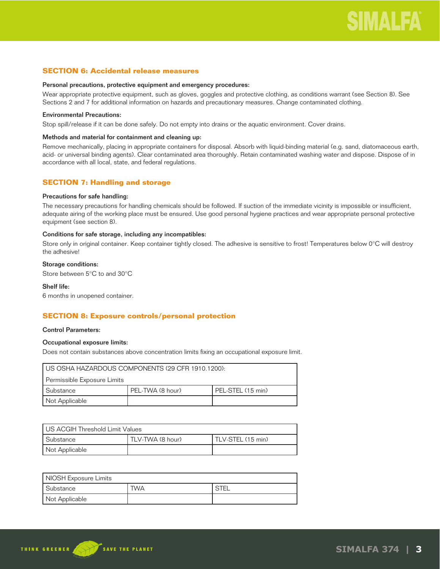## **SECTION 6: Accidental release measures**

#### Personal precautions, protective equipment and emergency procedures:

Wear appropriate protective equipment, such as gloves, goggles and protective clothing, as conditions warrant (see Section 8). See Sections 2 and 7 for additional information on hazards and precautionary measures. Change contaminated clothing.

## Environmental Precautions:

Stop spill/release if it can be done safely. Do not empty into drains or the aquatic environment. Cover drains.

### Methods and material for containment and cleaning up:

Remove mechanically, placing in appropriate containers for disposal. Absorb with liquid-binding material (e.g. sand, diatomaceous earth, acid- or universal binding agents). Clear contaminated area thoroughly. Retain contaminated washing water and dispose. Dispose of in accordance with all local, state, and federal regulations.

## **SECTION 7: Handling and storage**

#### Precautions for safe handling:

The necessary precautions for handling chemicals should be followed. If suction of the immediate vicinity is impossible or insufficient, adequate airing of the working place must be ensured. Use good personal hygiene practices and wear appropriate personal protective equipment (see section 8).

#### Conditions for safe storage, including any incompatibles:

Store only in original container. Keep container tightly closed. The adhesive is sensitive to frost! Temperatures below 0°C will destroy the adhesive!

## Storage conditions:

Store between 5°C to and 30°C

### Shelf life:

6 months in unopened container.

## **SECTION 8: Exposure controls/personal protection**

#### Control Parameters:

## Occupational exposure limits:

Does not contain substances above concentration limits fixing an occupational exposure limit.

| I US OSHA HAZARDOUS COMPONENTS (29 CFR 1910.1200): |                  |                     |  |  |
|----------------------------------------------------|------------------|---------------------|--|--|
| Permissible Exposure Limits                        |                  |                     |  |  |
| l Substance                                        | PEL-TWA (8 hour) | I PEL-STEL (15 min) |  |  |
| Not Applicable                                     |                  |                     |  |  |

| US ACGIH Threshold Limit Values |                  |                   |  |
|---------------------------------|------------------|-------------------|--|
| l Substance                     | TLV-TWA (8 hour) | TLV-STEL (15 min) |  |
| Not Applicable                  |                  |                   |  |

| NIOSH Exposure Limits |     |  |  |
|-----------------------|-----|--|--|
| Substance             | TWA |  |  |
| Not Applicable        |     |  |  |

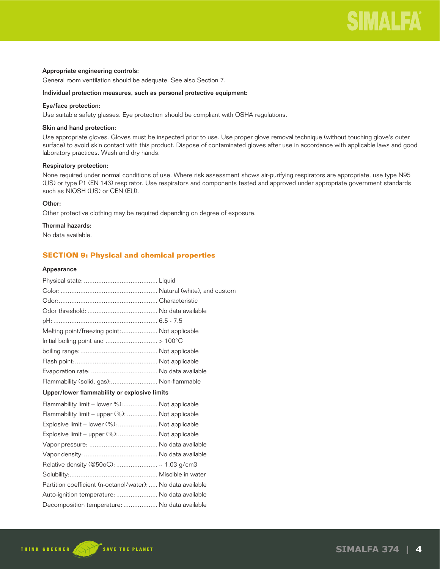### Appropriate engineering controls:

General room ventilation should be adequate. See also Section 7.

#### Individual protection measures, such as personal protective equipment:

## Eye/face protection:

Use suitable safety glasses. Eye protection should be compliant with OSHA regulations.

#### Skin and hand protection:

Use appropriate gloves. Gloves must be inspected prior to use. Use proper glove removal technique (without touching glove's outer surface) to avoid skin contact with this product. Dispose of contaminated gloves after use in accordance with applicable laws and good laboratory practices. Wash and dry hands.

### Respiratory protection:

None required under normal conditions of use. Where risk assessment shows air-purifying respirators are appropriate, use type N95 (US) or type P1 (EN 143) respirator. Use respirators and components tested and approved under appropriate government standards such as NIOSH (US) or CEN (EU).

## Other:

Other protective clothing may be required depending on degree of exposure.

## Thermal hazards:

No data available.

## **SECTION 9: Physical and chemical properties**

#### Appearance

| Melting point/freezing point: Not applicable                |
|-------------------------------------------------------------|
|                                                             |
|                                                             |
|                                                             |
|                                                             |
| Flammability (solid, gas): Non-flammable                    |
| Upper/lower flammability or explosive limits                |
| Flammability limit – lower %): Not applicable               |
| Flammability limit - upper (%):  Not applicable             |
| Explosive limit – lower (%):  Not applicable                |
| Explosive limit - upper (%): Not applicable                 |
|                                                             |
|                                                             |
| Relative density (@50oC):  ~ 1.03 g/cm3                     |
|                                                             |
| Partition coefficient (n-octanol/water):  No data available |
| Auto-ignition temperature:  No data available               |
| Decomposition temperature:  No data available               |
|                                                             |

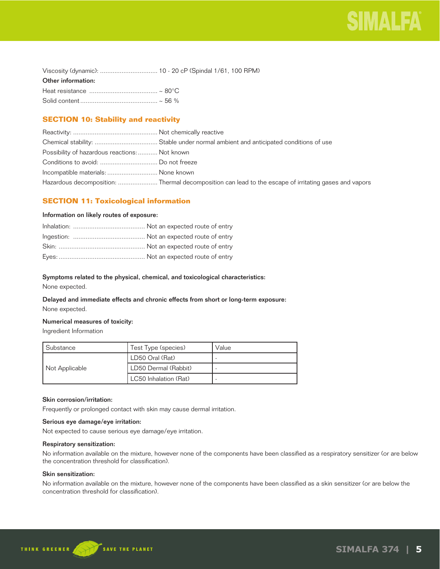| Viscosity (dynamic):  10 - 20 cP (Spindal 1/61, 100 RPM) |  |
|----------------------------------------------------------|--|
| Other information:                                       |  |
|                                                          |  |
|                                                          |  |

## **SECTION 10: Stability and reactivity**

| Possibility of hazardous reactions:  Not known |                                                                                                       |
|------------------------------------------------|-------------------------------------------------------------------------------------------------------|
|                                                |                                                                                                       |
| Incompatible materials:  None known            |                                                                                                       |
|                                                | Hazardous decomposition:  Thermal decomposition can lead to the escape of irritating gases and vapors |

## **SECTION 11: Toxicological information**

### Information on likely routes of exposure:

## Symptoms related to the physical, chemical, and toxicological characteristics:

None expected.

## Delayed and immediate effects and chronic effects from short or long-term exposure: None expected.

## Numerical measures of toxicity:

Ingredient Information

| Substance      | Test Type (species)   | Value |
|----------------|-----------------------|-------|
|                | LD50 Oral (Rat)       |       |
| Not Applicable | LD50 Dermal (Rabbit)  |       |
|                | LC50 Inhalation (Rat) |       |

## Skin corrosion/irritation:

Frequently or prolonged contact with skin may cause dermal irritation.

## Serious eye damage/eye irritation:

Not expected to cause serious eye damage/eye irritation.

#### Respiratory sensitization:

No information available on the mixture, however none of the components have been classified as a respiratory sensitizer (or are below the concentration threshold for classification).

## Skin sensitization:

No information available on the mixture, however none of the components have been classified as a skin sensitizer (or are below the concentration threshold for classification).

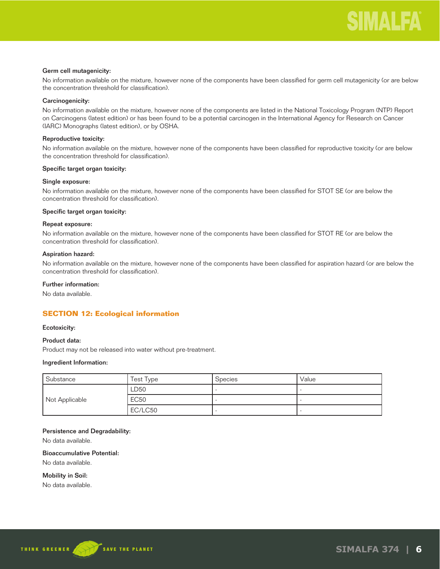### Germ cell mutagenicity:

No information available on the mixture, however none of the components have been classified for germ cell mutagenicity (or are below the concentration threshold for classification).

### Carcinogenicity:

No information available on the mixture, however none of the components are listed in the National Toxicology Program (NTP) Report on Carcinogens (latest edition) or has been found to be a potential carcinogen in the International Agency for Research on Cancer (IARC) Monographs (latest edition), or by OSHA.

### Reproductive toxicity:

No information available on the mixture, however none of the components have been classified for reproductive toxicity (or are below the concentration threshold for classification).

#### Specific target organ toxicity:

#### Single exposure:

No information available on the mixture, however none of the components have been classified for STOT SE (or are below the concentration threshold for classification).

#### Specific target organ toxicity:

## Repeat exposure:

No information available on the mixture, however none of the components have been classified for STOT RE (or are below the concentration threshold for classification).

#### Aspiration hazard:

No information available on the mixture, however none of the components have been classified for aspiration hazard (or are below the concentration threshold for classification).

## Further information:

No data available.

## **SECTION 12: Ecological information**

#### Ecotoxicity:

## Product data:

Product may not be released into water without pre-treatment.

#### Ingredient Information:

| Substance      | Test Type   | Species | Value |
|----------------|-------------|---------|-------|
|                | LD50        |         |       |
| Not Applicable | <b>EC50</b> |         |       |
|                | EC/LC50     |         |       |

### Persistence and Degradability:

No data available.

## Bioaccumulative Potential:

No data available.

### Mobility in Soil:

No data available.

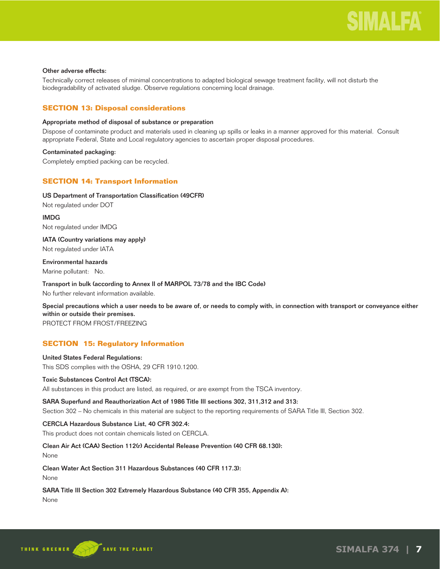## Other adverse effects:

Technically correct releases of minimal concentrations to adapted biological sewage treatment facility, will not disturb the biodegradability of activated sludge. Observe regulations concerning local drainage.

## **SECTION 13: Disposal considerations**

## Appropriate method of disposal of substance or preparation

Dispose of contaminate product and materials used in cleaning up spills or leaks in a manner approved for this material. Consult appropriate Federal, State and Local regulatory agencies to ascertain proper disposal procedures.

## Contaminated packaging:

Completely emptied packing can be recycled.

## **SECTION 14: Transport Information**

## US Department of Transportation Classification (49CFR)

Not regulated under DOT

IMDG Not regulated under IMDG

IATA (Country variations may apply) Not regulated under IATA

## Environmental hazards

Marine pollutant: No.

## Transport in bulk (according to Annex II of MARPOL 73/78 and the IBC Code)

No further relevant information available.

Special precautions which a user needs to be aware of, or needs to comply with, in connection with transport or conveyance either within or outside their premises.

PROTECT FROM FROST/FREEZING

## **SECTION 15: Regulatory Information**

## United States Federal Regulations:

This SDS complies with the OSHA, 29 CFR 1910.1200.

## Toxic Substances Control Act (TSCA):

All substances in this product are listed, as required, or are exempt from the TSCA inventory.

## SARA Superfund and Reauthorization Act of 1986 Title III sections 302, 311,312 and 313:

Section 302 – No chemicals in this material are subject to the reporting requirements of SARA Title III, Section 302.

## CERCLA Hazardous Substance List, 40 CFR 302.4:

This product does not contain chemicals listed on CERCLA.

## Clean Air Act (CAA) Section 112(r) Accidental Release Prevention (40 CFR 68.130):

None

## Clean Water Act Section 311 Hazardous Substances (40 CFR 117.3):

None

## SARA Title III Section 302 Extremely Hazardous Substance (40 CFR 355, Appendix A):

None

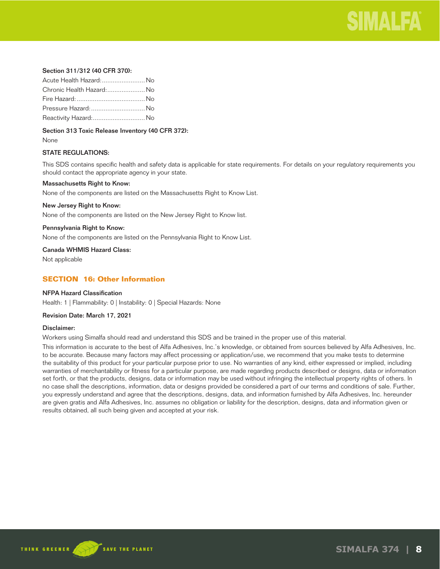

## Section 311/312 (40 CFR 370):

| Acute Health Hazard: No   |  |
|---------------------------|--|
| Chronic Health Hazard: No |  |
|                           |  |
| Pressure Hazard:  No      |  |
| Reactivity Hazard: No     |  |

Section 313 Toxic Release Inventory (40 CFR 372):

None

## STATE REGULATIONS:

This SDS contains specific health and safety data is applicable for state requirements. For details on your regulatory requirements you should contact the appropriate agency in your state.

#### Massachusetts Right to Know:

None of the components are listed on the Massachusetts Right to Know List.

### New Jersey Right to Know:

None of the components are listed on the New Jersey Right to Know list.

### Pennsylvania Right to Know:

None of the components are listed on the Pennsylvania Right to Know List.

Canada WHMIS Hazard Class:

Not applicable

## **SECTION 16: Other Information**

## NFPA Hazard Classification

Health: 1 | Flammability: 0 | Instability: 0 | Special Hazards: None

## Revision Date: March 17, 2021

#### Disclaimer:

Workers using Simalfa should read and understand this SDS and be trained in the proper use of this material.

This information is accurate to the best of Alfa Adhesives, Inc.'s knowledge, or obtained from sources believed by Alfa Adhesives, Inc. to be accurate. Because many factors may affect processing or application/use, we recommend that you make tests to determine the suitability of this product for your particular purpose prior to use. No warranties of any kind, either expressed or implied, including warranties of merchantability or fitness for a particular purpose, are made regarding products described or designs, data or information set forth, or that the products, designs, data or information may be used without infringing the intellectual property rights of others. In no case shall the descriptions, information, data or designs provided be considered a part of our terms and conditions of sale. Further, you expressly understand and agree that the descriptions, designs, data, and information furnished by Alfa Adhesives, Inc. hereunder are given gratis and Alfa Adhesives, Inc. assumes no obligation or liability for the description, designs, data and information given or results obtained, all such being given and accepted at your risk.

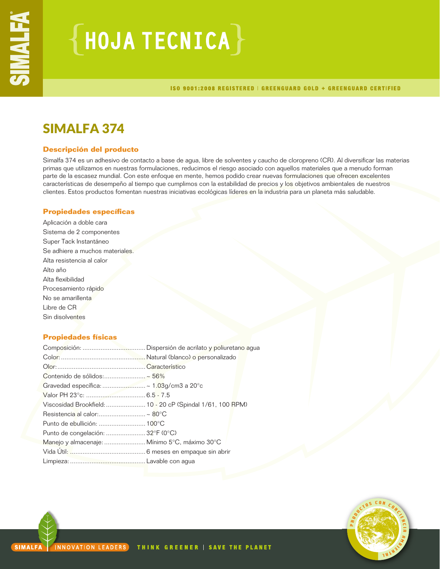# $\{$  HOJA TECNICA $\}$

ISO 9001:2008 REGISTERED | GREENGUARD GOLD + GREENGUARD CERTIFIED

## SIMALFA 374

## **Descripción del producto**

Simalfa 374 es un adhesivo de contacto a base de agua, libre de solventes y caucho de cloropreno (CR). Al diversificar las materias primas que utilizamos en nuestras formulaciones, reducimos el riesgo asociado con aquellos materiales que a menudo forman parte de la escasez mundial. Con este enfoque en mente, hemos podido crear nuevas formulaciones que ofrecen excelentes características de desempeño al tiempo que cumplimos con la estabilidad de precios y los objetivos ambientales de nuestros clientes. Estos productos fomentan nuestras iniciativas ecológicas líderes en la industria para un planeta más saludable.

## **Propiedades específicas**

Aplicación a doble cara Sistema de 2 componentes Super Tack Instantáneo Se adhiere a muchos materiales. Alta resistencia al calor Alto año Alta flexibilidad Procesamiento rápido No se amarillenta Libre de CR Sin disolventes

## **Propiedades físicas**

| Contenido de sólidos:~ 56%                    |  |
|-----------------------------------------------|--|
|                                               |  |
|                                               |  |
|                                               |  |
| Resistencia al calor: ~ 80 $^{\circ}$ C       |  |
|                                               |  |
| Punto de congelación:  32°F (0°C)             |  |
| Manejo y almacenaje:  Mínimo 5°C, máximo 30°C |  |
|                                               |  |
|                                               |  |

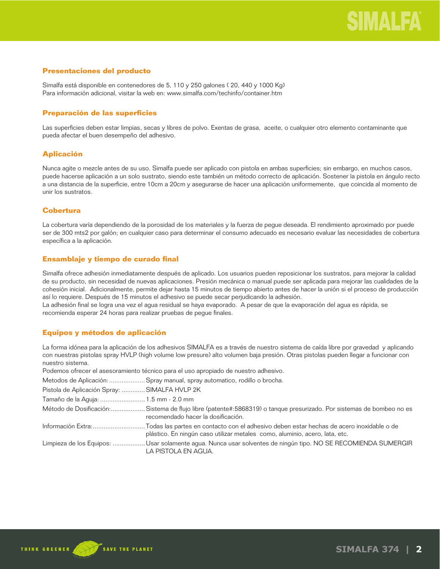## **Presentaciones del producto**

Simalfa está disponible en contenedores de 5, 110 y 250 galones ( 20, 440 y 1000 Kg) Para información adicional, visitar la web en: www.simalfa.com/techinfo/container.htm

## **Preparación de las superficies**

Las superficies deben estar limpias, secas y libres de polvo. Exentas de grasa, aceite, o cualquier otro elemento contaminante que pueda afectar el buen desempeño del adhesivo.

## **Aplicación**

Nunca agite o mezcle antes de su uso. Simalfa puede ser aplicado con pistola en ambas superficies; sin embargo, en muchos casos, puede hacerse aplicación a un solo sustrato, siendo este también un método correcto de aplicación. Sostener la pistola en ángulo recto a una distancia de la superficie, entre 10cm a 20cm y asegurarse de hacer una aplicación uniformemente, que coincida al momento de unir los sustratos.

## **Cobertura**

La cobertura varía dependiendo de la porosidad de los materiales y la fuerza de pegue deseada. El rendimiento aproximado por puede ser de 300 mts2 por galón; en cualquier caso para determinar el consumo adecuado es necesario evaluar las necesidades de cobertura específica a la aplicación.

## **Ensamblaje y tiempo de curado final**

Simalfa ofrece adhesión inmediatamente después de aplicado. Los usuarios pueden reposicionar los sustratos, para mejorar la calidad de su producto, sin necesidad de nuevas aplicaciones. Presión mecánica o manual puede ser aplicada para mejorar las cualidades de la cohesión inicial. Adicionalmente, permite dejar hasta 15 minutos de tiempo abierto antes de hacer la unión si el proceso de producción así lo requiere. Después de 15 minutos el adhesivo se puede secar perjudicando la adhesión.

La adhesión final se logra una vez el agua residual se haya evaporado. A pesar de que la evaporación del agua es rápida, se recomienda esperar 24 horas para realizar pruebas de pegue finales.

## **Equipos y métodos de aplicación**

La forma idónea para la aplicación de los adhesivos SIMALFA es a través de nuestro sistema de caída libre por gravedad y aplicando con nuestras pistolas spray HVLP (high volume low presure) alto volumen baja presión. Otras pistolas pueden llegar a funcionar con nuestro sistema.

Podemos ofrecer el asesoramiento técnico para el uso apropiado de nuestro adhesivo.

Metodos de Aplicación: .................... Spray manual, spray automatico, rodillo o brocha.

|  | Pistola de Aplicación Spray:  SIMALFA HVLP 2K |  |
|--|-----------------------------------------------|--|
|  |                                               |  |

Tamaño de la Aguja: ......................... 1.5 mm - 2.0 mm

Método de Dosificación:...................Sistema de flujo libre (patente#:5868319) o tanque presurizado. Por sistemas de bombeo no es recomendado hacer la dosificación.

Información Extra: ............................. Todas las partes en contacto con el adhesivo deben estar hechas de acero inoxidable o de plástico. En ningún caso utilizar metales como, aluminio, acero, lata, etc.

Limpieza de los Equipos: .................. Usar solamente agua. Nunca usar solventes de ningún tipo. NO SE RECOMIENDA SUMERGIR LA PISTOLA EN AGUA.

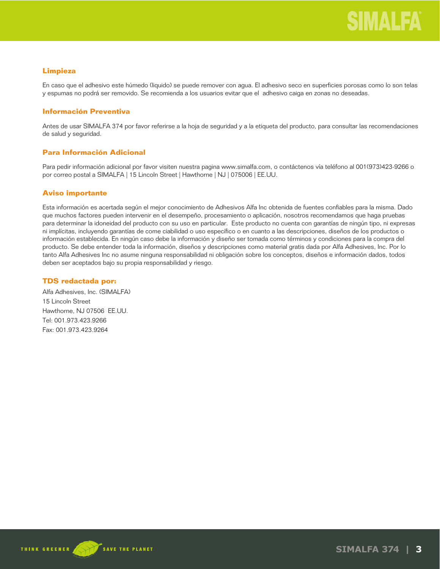## **Limpieza**

En caso que el adhesivo este húmedo (liquido) se puede remover con agua. El adhesivo seco en superficies porosas como lo son telas y espumas no podrá ser removido. Se recomienda a los usuarios evitar que el adhesivo caiga en zonas no deseadas.

## **Información Preventiva**

Antes de usar SIMALFA 374 por favor referirse a la hoja de seguridad y a la etiqueta del producto, para consultar las recomendaciones de salud y seguridad.

## **Para Información Adicional**

Para pedir información adicional por favor visiten nuestra pagina www.simalfa.com, o contáctenos vía teléfono al 001(973)423-9266 o por correo postal a SIMALFA | 15 Lincoln Street | Hawthorne | NJ | 075006 | EE.UU.

## **Aviso importante**

Esta información es acertada según el mejor conocimiento de Adhesivos Alfa Inc obtenida de fuentes confiables para la misma. Dado que muchos factores pueden intervenir en el desempeño, procesamiento o aplicación, nosotros recomendamos que haga pruebas para determinar la idoneidad del producto con su uso en particular. Este producto no cuenta con garantías de ningún tipo, ni expresas ni implícitas, incluyendo garantías de come ciabilidad o uso específico o en cuanto a las descripciones, diseños de los productos o información establecida. En ningún caso debe la información y diseño ser tomada como términos y condiciones para la compra del producto. Se debe entender toda la información, diseños y descripciones como material gratis dada por Alfa Adhesives, Inc. Por lo tanto Alfa Adhesives Inc no asume ninguna responsabilidad ni obligación sobre los conceptos, diseños e información dados, todos deben ser aceptados bajo su propia responsabilidad y riesgo.

## **TDS redactada por:**

Alfa Adhesives, Inc. (SIMALFA) 15 Lincoln Street Hawthorne, NJ 07506 EE.UU. Tel: 001.973.423.9266 Fax: 001.973.423.9264



**SIMALFA 374 | 3**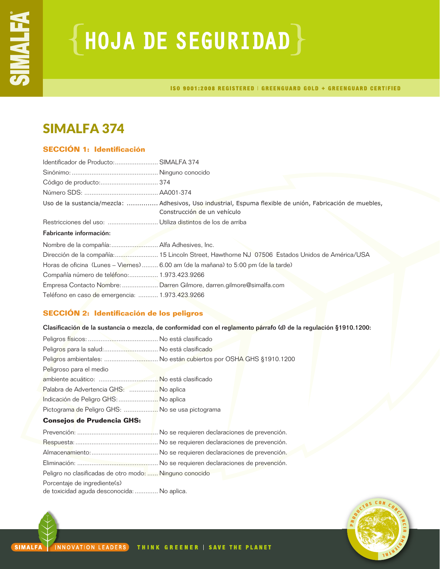# ${HoudA DE SEGURIDAD}$

ISO 9001:2008 REGISTERED | GREENGUARD GOLD + GREENGUARD CERTIFIED

## SIMALFA 374

## **SECCIÓN 1: Identificación**

| Identificador de Producto: SIMALFA 374      |                                                                                                                                          |
|---------------------------------------------|------------------------------------------------------------------------------------------------------------------------------------------|
|                                             |                                                                                                                                          |
|                                             |                                                                                                                                          |
|                                             |                                                                                                                                          |
|                                             | Uso de la sustancia/mezcla:  Adhesivos, Uso industrial, Espuma flexible de unión, Fabricación de muebles,<br>Construcción de un vehículo |
|                                             |                                                                                                                                          |
| Fabricante información:                     |                                                                                                                                          |
|                                             |                                                                                                                                          |
|                                             |                                                                                                                                          |
|                                             |                                                                                                                                          |
|                                             | Horas de oficina (Lunes – Viernes)  6.00 am (de la mañana) to 5:00 pm (de la tarde)                                                      |
| Compañía número de teléfono: 1.973.423.9266 |                                                                                                                                          |
|                                             | Empresa Contacto Nombre:  Darren Gilmore, darren.gilmore@simalfa.com                                                                     |

## **SECCIÓN 2: Identificación de los peligros**

Clasificación de la sustancia o mezcla, de conformidad con el reglamento párrafo (d) de la regulación §1910.1200:

| Peligros para la salud: No está clasificado      |                                                                   |
|--------------------------------------------------|-------------------------------------------------------------------|
|                                                  | Peligros ambientales:  No están cubiertos por OSHA GHS §1910.1200 |
| Peligroso para el medio                          |                                                                   |
|                                                  |                                                                   |
| Palabra de Advertencia GHS:  No aplica           |                                                                   |
| Indicación de Peligro GHS:  No aplica            |                                                                   |
| Pictograma de Peligro GHS:  No se usa pictograma |                                                                   |
| <b>Consejos de Prudencia GHS:</b>                |                                                                   |

## **Consejos de Prudencia GHS:**

| Peligro no clasificadas de otro modo:  Ninguno conocido                     |  |
|-----------------------------------------------------------------------------|--|
| Porcentaje de ingrediente(s)<br>de toxicidad aguda desconocida:  No aplica. |  |

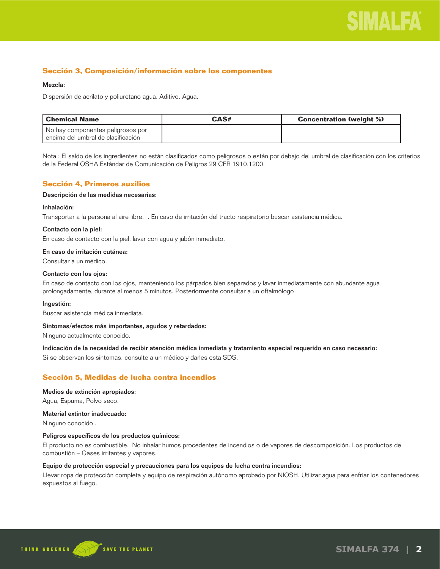

## **Sección 3, Composición/información sobre los componentes**

#### Mezcla:

Dispersión de acrilato y poliuretano agua. Aditivo. Agua.

| l Chemical Name                        | CAS# | <b>Concentration (weight %)</b> |
|----------------------------------------|------|---------------------------------|
| No hay componentes peligrosos por      |      |                                 |
| l encima del umbral de clasificación l |      |                                 |

Nota : El saldo de los ingredientes no están clasificados como peligrosos o están por debajo del umbral de clasificación con los criterios de la Federal OSHA Estándar de Comunicación de Peligros 29 CFR 1910.1200.

## **Sección 4, Primeros auxilios**

#### Descripción de las medidas necesarias:

#### Inhalación:

Transportar a la persona al aire libre. . En caso de irritación del tracto respiratorio buscar asistencia médica.

#### Contacto con la piel:

En caso de contacto con la piel, lavar con agua y jabón inmediato.

#### En caso de irritación cutánea:

Consultar a un médico.

#### Contacto con los ojos:

En caso de contacto con los ojos, manteniendo los párpados bien separados y lavar inmediatamente con abundante agua prolongadamente, durante al menos 5 minutos. Posteriormente consultar a un oftalmólogo

#### Ingestión:

Buscar asistencia médica inmediata.

#### Síntomas/efectos más importantes, agudos y retardados:

Ninguno actualmente conocido.

Indicación de la necesidad de recibir atención médica inmediata y tratamiento especial requerido en caso necesario:

Si se observan los síntomas, consulte a un médico y darles esta SDS.

## **Sección 5, Medidas de lucha contra incendios**

#### Medios de extinción apropiados:

Agua, Espuma, Polvo seco.

### Material extintor inadecuado:

Ninguno conocido .

#### Peligros específicos de los productos químicos:

El producto no es combustible. No inhalar humos procedentes de incendios o de vapores de descomposición. Los productos de combustión – Gases irritantes y vapores.

#### Equipo de protección especial y precauciones para los equipos de lucha contra incendios:

Llevar ropa de protección completa y equipo de respiración autónomo aprobado por NIOSH. Utilizar agua para enfriar los contenedores expuestos al fuego.

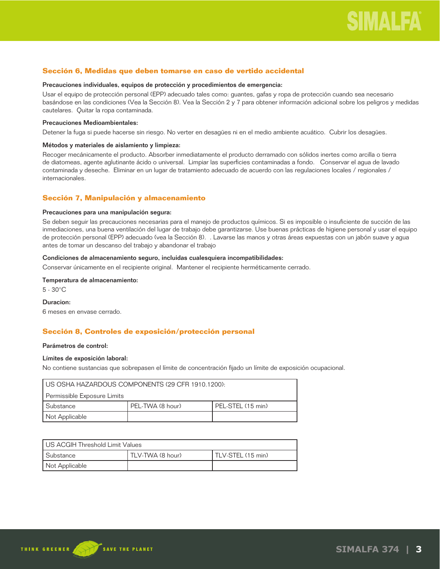## **Sección 6, Medidas que deben tomarse en caso de vertido accidental**

#### Precauciones individuales, equipos de protección y procedimientos de emergencia:

Usar el equipo de protección personal (EPP) adecuado tales como: guantes, gafas y ropa de protección cuando sea necesario basándose en las condiciones (Vea la Sección 8). Vea la Sección 2 y 7 para obtener información adicional sobre los peligros y medidas cautelares. Quitar la ropa contaminada.

#### Precauciones Medioambientales:

Detener la fuga si puede hacerse sin riesgo. No verter en desagües ni en el medio ambiente acuático. Cubrir los desagües.

#### Métodos y materiales de aislamiento y limpieza:

Recoger mecánicamente el producto. Absorber inmediatamente el producto derramado con sólidos inertes como arcilla o tierra de diatomeas, agente aglutinante ácido o universal. Limpiar las superficies contaminadas a fondo. Conservar el agua de lavado contaminada y deseche. Eliminar en un lugar de tratamiento adecuado de acuerdo con las regulaciones locales / regionales / internacionales.

## **Sección 7, Manipulación y almacenamiento**

### Precauciones para una manipulación segura:

Se deben seguir las precauciones necesarias para el manejo de productos químicos. Si es imposible o insuficiente de succión de las inmediaciones, una buena ventilación del lugar de trabajo debe garantizarse. Use buenas prácticas de higiene personal y usar el equipo de protección personal (EPP) adecuado (vea la Sección 8). . Lavarse las manos y otras áreas expuestas con un jabón suave y agua antes de tomar un descanso del trabajo y abandonar el trabajo

### Condiciones de almacenamiento seguro, incluidas cualesquiera incompatibilidades:

Conservar únicamente en el recipiente original. Mantener el recipiente herméticamente cerrado.

## Temperatura de almacenamiento:

5 - 30°C

#### Duracion:

6 meses en envase cerrado.

## **Sección 8, Controles de exposición/protección personal**

#### Parámetros de control:

#### Límites de exposición laboral:

No contiene sustancias que sobrepasen el límite de concentración fijado un límite de exposición ocupacional.

| I US OSHA HAZARDOUS COMPONENTS (29 CFR 1910.1200):   |  |  |
|------------------------------------------------------|--|--|
| Permissible Exposure Limits                          |  |  |
| PEL-STEL (15 min)<br>PEL-TWA (8 hour)<br>l Substance |  |  |
| Not Applicable                                       |  |  |

| US ACGIH Threshold Limit Values                      |  |  |  |
|------------------------------------------------------|--|--|--|
| l Substance<br>TLV-TWA (8 hour)<br>TLV-STEL (15 min) |  |  |  |
| Not Applicable                                       |  |  |  |

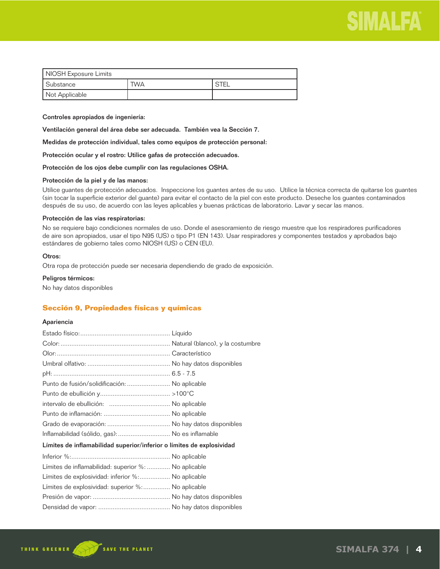

| NIOSH Exposure Limits      |  |  |  |
|----------------------------|--|--|--|
| Substance<br>' STEL<br>TWA |  |  |  |
| Not Applicable             |  |  |  |

Controles apropiados de ingeniería:

Ventilación general del área debe ser adecuada. También vea la Sección 7.

Medidas de protección individual, tales como equipos de protección personal:

Protección ocular y el rostro: Utilice gafas de protección adecuados.

Protección de los ojos debe cumplir con las regulaciones OSHA.

#### Protección de la piel y de las manos:

Utilice guantes de protección adecuados. Inspeccione los guantes antes de su uso. Utilice la técnica correcta de quitarse los guantes (sin tocar la superficie exterior del guante) para evitar el contacto de la piel con este producto. Deseche los guantes contaminados después de su uso, de acuerdo con las leyes aplicables y buenas prácticas de laboratorio. Lavar y secar las manos.

#### Protección de las vías respiratorias:

No se requiere bajo condiciones normales de uso. Donde el asesoramiento de riesgo muestre que los respiradores purificadores de aire son apropiados, usar el tipo N95 (US) o tipo P1 (EN 143). Usar respiradores y componentes testados y aprobados bajo estándares de gobierno tales como NIOSH (US) o CEN (EU).

#### Otros:

Otra ropa de protección puede ser necesaria dependiendo de grado de exposición.

#### Peligros térmicos:

No hay datos disponibles

## **Sección 9, Propiedades físicas y químicas**

#### Apariencia

| Punto de fusión/solidificación:  No aplicable                         |  |  |
|-----------------------------------------------------------------------|--|--|
|                                                                       |  |  |
|                                                                       |  |  |
|                                                                       |  |  |
|                                                                       |  |  |
| Inflamabilidad (sólido, gas):  No es inflamable                       |  |  |
| Límites de inflamabilidad superior/inferior o límites de explosividad |  |  |
|                                                                       |  |  |
| Límites de inflamabilidad: superior %:  No aplicable                  |  |  |
| Límites de explosividad: inferior %: No aplicable                     |  |  |
| Límites de explosividad: superior %: No aplicable                     |  |  |
|                                                                       |  |  |
|                                                                       |  |  |
|                                                                       |  |  |

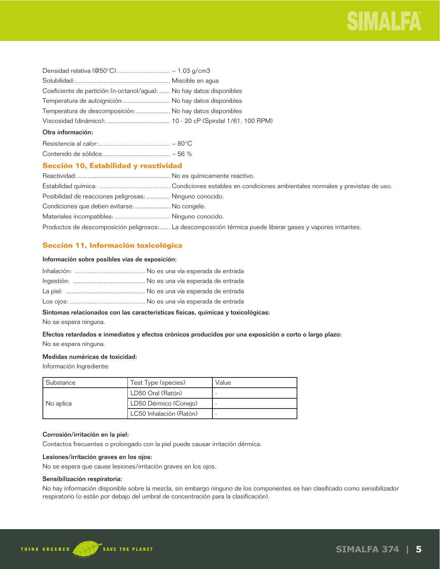| Coeficiente de partición (n-octanol/agua):  No hay datos disponibles |  |
|----------------------------------------------------------------------|--|
| Temperatura de autoignición: No hay datos disponibles                |  |
| Temperatura de descomposición:  No hay datos disponibles             |  |
|                                                                      |  |
| Otra información:                                                    |  |
|                                                                      |  |
|                                                                      |  |

## **Sección 10, Estabilidad y reactividad**

| Posibilidad de reacciones peligrosas:  Ninguno conocido. |                                                                                                             |
|----------------------------------------------------------|-------------------------------------------------------------------------------------------------------------|
| Condiciones que deben evitarse: No congele.              |                                                                                                             |
| Materiales incompatibles:  Ninguno conocido.             |                                                                                                             |
|                                                          | Productos de descomposición peligrosos: La descomposición térmica puede liberar gases y vapores irritantes. |

## **Sección 11, Información toxicológica**

## Información sobre posibles vías de exposición:

## Síntomas relacionados con las características físicas, químicas y toxicológicas:

No se espera ninguna.

## Efectos retardados e inmediatos y efectos crónicos producidos por una exposición a corto o largo plazo: No se espera ninguna.

## Medidas numéricas de toxicidad:

Información Ingrediente:

| Substance | Test Type (species)     | Value |
|-----------|-------------------------|-------|
| No aplica | LD50 Oral (Ratón)       |       |
|           | LD50 Dérmico (Conejo)   |       |
|           | LC50 Inhalación (Ratón) |       |

## Corrosión/irritación en la piel:

Contactos frecuentes o prolongado con la piel puede causar irritación dérmica.

## Lesiones/irritación graves en los ojos:

No se espera que cause lesiones/irritación graves en los ojos.

## Sensibilización respiratoria:

No hay información disponible sobre la mezcla, sin embargo ninguno de los componentes se han clasificado como sensibilizador respiratorio (o están por debajo del umbral de concentración para la clasificación).

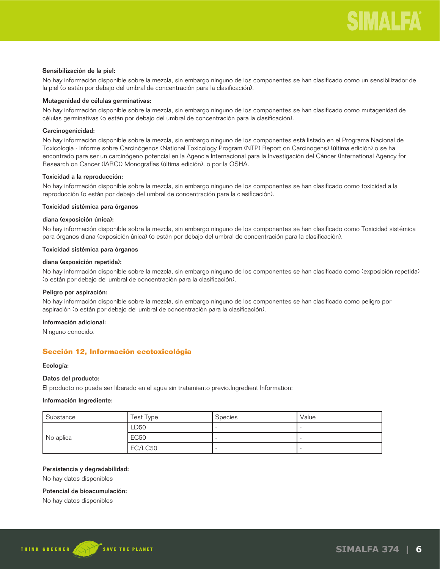#### Sensibilización de la piel:

No hay información disponible sobre la mezcla, sin embargo ninguno de los componentes se han clasificado como un sensibilizador de la piel (o están por debajo del umbral de concentración para la clasificación).

### Mutagenidad de células germinativas:

No hay información disponible sobre la mezcla, sin embargo ninguno de los componentes se han clasificado como mutagenidad de células germinativas (o están por debajo del umbral de concentración para la clasificación).

## Carcinogenicidad:

No hay información disponible sobre la mezcla, sin embargo ninguno de los componentes está listado en el Programa Nacional de Toxicología - Informe sobre Carcinógenos (National Toxicology Program (NTP) Report on Carcinogens) (última edición) o se ha encontrado para ser un carcinógeno potencial en la Agencia Internacional para la Investigación del Cáncer (International Agency for Research on Cancer (IARC)) Monografías (última edición), o por la OSHA.

## Toxicidad a la reproducción:

No hay información disponible sobre la mezcla, sin embargo ninguno de los componentes se han clasificado como toxicidad a la reproducción (o están por debajo del umbral de concentración para la clasificación).

#### Toxicidad sistémica para órganos

### diana (exposición única):

No hay información disponible sobre la mezcla, sin embargo ninguno de los componentes se han clasificado como Toxicidad sistémica para órganos diana (exposición única) (o están por debajo del umbral de concentración para la clasificación).

#### Toxicidad sistémica para órganos

#### diana (exposición repetida):

No hay información disponible sobre la mezcla, sin embargo ninguno de los componentes se han clasificado como (exposición repetida) (o están por debajo del umbral de concentración para la clasificación).

#### Peligro por aspiración:

No hay información disponible sobre la mezcla, sin embargo ninguno de los componentes se han clasificado como peligro por aspiración (o están por debajo del umbral de concentración para la clasificación).

#### Información adicional:

Ninguno conocido.

## **Sección 12, Información ecotoxicológia**

#### Ecología:

#### Datos del producto:

El producto no puede ser liberado en el agua sin tratamiento previo.Ingredient Information:

## Información Ingrediente:

| Substance | Test Type   | <b>Species</b> | Value |
|-----------|-------------|----------------|-------|
| No aplica | LD50        |                |       |
|           | <b>EC50</b> |                |       |
|           | EC/LC50     |                |       |

#### Persistencia y degradabilidad:

No hay datos disponibles

#### Potencial de bioacumulación:

No hay datos disponibles

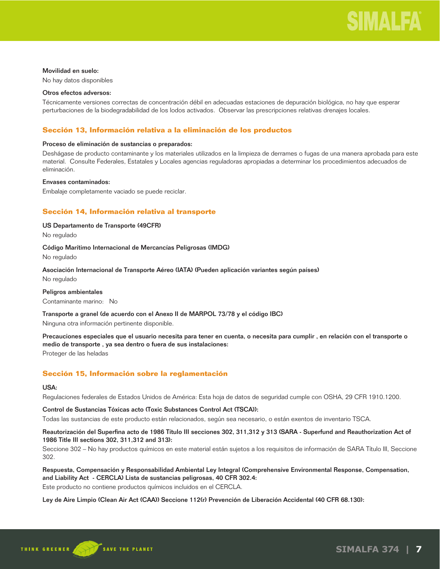#### Movilidad en suelo:

No hay datos disponibles

#### Otros efectos adversos:

Técnicamente versiones correctas de concentración débil en adecuadas estaciones de depuración biológica, no hay que esperar perturbaciones de la biodegradabilidad de los lodos activados. Observar las prescripciones relativas drenajes locales.

## **Sección 13, Información relativa a la eliminación de los productos**

### Proceso de eliminación de sustancias o preparados:

Deshágase de producto contaminante y los materiales utilizados en la limpieza de derrames o fugas de una manera aprobada para este material. Consulte Federales, Estatales y Locales agencias reguladoras apropiadas a determinar los procedimientos adecuados de eliminación.

## Envases contaminados:

Embalaje completamente vaciado se puede reciclar.

## **Sección 14, Información relativa al transporte**

### US Departamento de Transporte (49CFR)

No regulado

## Código Marítimo Internacional de Mercancías Peligrosas (IMDG)

No regulado

## Asociación Internacional de Transporte Aéreo (IATA) (Pueden aplicación variantes según países)

No regulado

Peligros ambientales Contaminante marino: No

#### Transporte a granel (de acuerdo con el Anexo II de MARPOL 73/78 y el código IBC)

Ninguna otra información pertinente disponible.

Precauciones especiales que el usuario necesita para tener en cuenta, o necesita para cumplir , en relación con el transporte o medio de transporte , ya sea dentro o fuera de sus instalaciones: Proteger de las heladas

## **Sección 15, Información sobre la reglamentación**

#### USA:

Regulaciones federales de Estados Unidos de América: Esta hoja de datos de seguridad cumple con OSHA, 29 CFR 1910.1200.

#### Control de Sustancias Tóxicas acto (Toxic Substances Control Act (TSCA)):

Todas las sustancias de este producto están relacionados, según sea necesario, o están exentos de inventario TSCA.

## Reautorización del Superfina acto de 1986 Título III secciones 302, 311,312 y 313 (SARA - Superfund and Reauthorization Act of 1986 Title III sections 302, 311,312 and 313):

Seccione 302 – No hay productos químicos en este material están sujetos a los requisitos de información de SARA Título III, Seccione 302.

## Respuesta, Compensación y Responsabilidad Ambiental Ley Integral (Comprehensive Environmental Response, Compensation, and Liability Act - CERCLA) Lista de sustancias peligrosas, 40 CFR 302.4:

Este producto no contiene productos químicos incluidos en el CERCLA.

Ley de Aire Limpio (Clean Air Act (CAA)) Seccione 112(r) Prevención de Liberación Accidental (40 CFR 68.130):